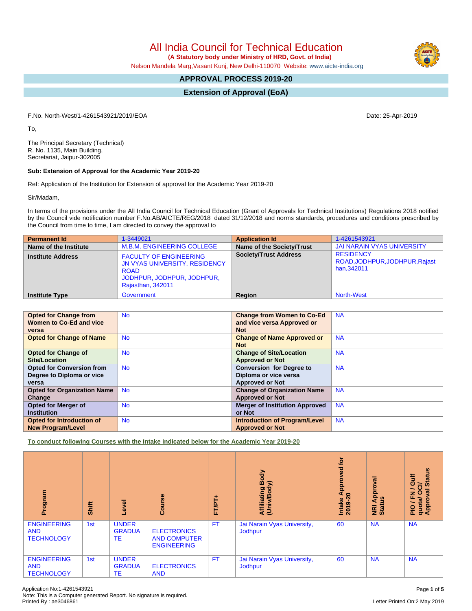All India Council for Technical Education

 **(A Statutory body under Ministry of HRD, Govt. of India)**

Nelson Mandela Marg,Vasant Kunj, New Delhi-110070 Website: [www.aicte-india.org](http://www.aicte-india.org)

# **APPROVAL PROCESS 2019-20**

**Extension of Approval (EoA)**

F.No. North-West/1-4261543921/2019/EOA Date: 25-Apr-2019

To,

The Principal Secretary (Technical) R. No. 1135, Main Building, Secretariat, Jaipur-302005

#### **Sub: Extension of Approval for the Academic Year 2019-20**

Ref: Application of the Institution for Extension of approval for the Academic Year 2019-20

Sir/Madam,

In terms of the provisions under the All India Council for Technical Education (Grant of Approvals for Technical Institutions) Regulations 2018 notified by the Council vide notification number F.No.AB/AICTE/REG/2018 dated 31/12/2018 and norms standards, procedures and conditions prescribed by the Council from time to time, I am directed to convey the approval to

| <b>Permanent Id</b>      | 1-3449021                                                                                                                        | <b>Application Id</b>        | 1-4261543921                                                     |
|--------------------------|----------------------------------------------------------------------------------------------------------------------------------|------------------------------|------------------------------------------------------------------|
| Name of the Institute    | <b>M.B.M. ENGINEERING COLLEGE</b>                                                                                                | Name of the Society/Trust    | <b>JAI NARAIN VYAS UNIVERSITY</b>                                |
| <b>Institute Address</b> | <b>FACULTY OF ENGINEERING</b><br>JN VYAS UNIVERSITY, RESIDENCY<br><b>ROAD</b><br>JODHPUR, JODHPUR, JODHPUR,<br>Rajasthan, 342011 | <b>Society/Trust Address</b> | <b>RESIDENCY</b><br>ROAD, JODHPUR, JODHPUR, Rajast<br>han.342011 |
| <b>Institute Type</b>    | Government                                                                                                                       | Region                       | <b>North-West</b>                                                |

| <b>Opted for Change from</b>       | <b>No</b> | <b>Change from Women to Co-Ed</b>     | <b>NA</b> |
|------------------------------------|-----------|---------------------------------------|-----------|
| Women to Co-Ed and vice            |           | and vice versa Approved or            |           |
| versa                              |           | <b>Not</b>                            |           |
| <b>Opted for Change of Name</b>    | <b>No</b> | <b>Change of Name Approved or</b>     | <b>NA</b> |
|                                    |           | <b>Not</b>                            |           |
| <b>Opted for Change of</b>         | <b>No</b> | <b>Change of Site/Location</b>        | <b>NA</b> |
| <b>Site/Location</b>               |           | <b>Approved or Not</b>                |           |
| <b>Opted for Conversion from</b>   | <b>No</b> | <b>Conversion for Degree to</b>       | <b>NA</b> |
| Degree to Diploma or vice          |           | Diploma or vice versa                 |           |
| versa                              |           | <b>Approved or Not</b>                |           |
| <b>Opted for Organization Name</b> | <b>No</b> | <b>Change of Organization Name</b>    | <b>NA</b> |
| Change                             |           | <b>Approved or Not</b>                |           |
| Opted for Merger of                | <b>No</b> | <b>Merger of Institution Approved</b> | <b>NA</b> |
| <b>Institution</b>                 |           | or Not                                |           |
| Opted for Introduction of          | <b>No</b> | <b>Introduction of Program/Level</b>  | <b>NA</b> |
| <b>New Program/Level</b>           |           | <b>Approved or Not</b>                |           |

**To conduct following Courses with the Intake indicated below for the Academic Year 2019-20**

| Program                                               | Shift | Level                               | Course                                                          | FT/PT+    | Body<br>⋦<br>Affiliating I<br>(Univ/Body | <b>b</b><br>yed<br>ppro<br>ৰ<br>$\circ$<br>Intake<br>2019-2 | Approval<br>٩<br>NRI<br>Stat | <b>Status</b><br><b>Gulf</b><br>ੋ<br>$\overline{\phantom{0}}$<br>$\circ$<br>g<br>준<br>quota/<br>Approv<br>$\frac{1}{2}$ |
|-------------------------------------------------------|-------|-------------------------------------|-----------------------------------------------------------------|-----------|------------------------------------------|-------------------------------------------------------------|------------------------------|-------------------------------------------------------------------------------------------------------------------------|
| <b>ENGINEERING</b><br><b>AND</b><br><b>TECHNOLOGY</b> | 1st   | <b>UNDER</b><br><b>GRADUA</b><br>TE | <b>ELECTRONICS</b><br><b>AND COMPUTER</b><br><b>ENGINEERING</b> | <b>FT</b> | Jai Narain Vyas University,<br>Jodhpur   | 60                                                          | <b>NA</b>                    | <b>NA</b>                                                                                                               |
| <b>ENGINEERING</b><br><b>AND</b><br><b>TECHNOLOGY</b> | 1st   | <b>UNDER</b><br><b>GRADUA</b><br>TE | <b>ELECTRONICS</b><br><b>AND</b>                                | <b>FT</b> | Jai Narain Vyas University,<br>Jodhpur   | 60                                                          | <b>NA</b>                    | <b>NA</b>                                                                                                               |

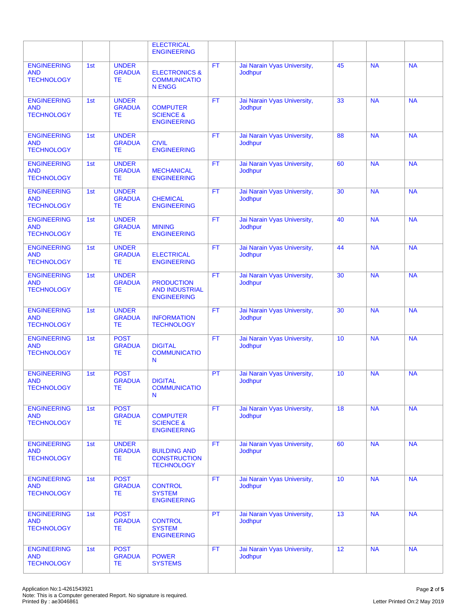|                                                       |     |                                            | <b>ELECTRICAL</b><br><b>ENGINEERING</b>                          |           |                                               |    |           |           |
|-------------------------------------------------------|-----|--------------------------------------------|------------------------------------------------------------------|-----------|-----------------------------------------------|----|-----------|-----------|
| <b>ENGINEERING</b><br><b>AND</b><br><b>TECHNOLOGY</b> | 1st | <b>UNDER</b><br><b>GRADUA</b><br>TE        | <b>ELECTRONICS &amp;</b><br><b>COMMUNICATIO</b><br><b>N ENGG</b> | <b>FT</b> | Jai Narain Vyas University,<br>Jodhpur        | 45 | <b>NA</b> | <b>NA</b> |
| <b>ENGINEERING</b><br><b>AND</b><br><b>TECHNOLOGY</b> | 1st | <b>UNDER</b><br><b>GRADUA</b><br>ТE        | <b>COMPUTER</b><br><b>SCIENCE &amp;</b><br><b>ENGINEERING</b>    | <b>FT</b> | Jai Narain Vyas University,<br><b>Jodhpur</b> | 33 | <b>NA</b> | <b>NA</b> |
| <b>ENGINEERING</b><br><b>AND</b><br><b>TECHNOLOGY</b> | 1st | <b>UNDER</b><br><b>GRADUA</b><br>ТE        | <b>CIVIL</b><br><b>ENGINEERING</b>                               | <b>FT</b> | Jai Narain Vyas University,<br>Jodhpur        | 88 | <b>NA</b> | <b>NA</b> |
| <b>ENGINEERING</b><br><b>AND</b><br><b>TECHNOLOGY</b> | 1st | <b>UNDER</b><br><b>GRADUA</b><br>ТE        | <b>MECHANICAL</b><br><b>ENGINEERING</b>                          | <b>FT</b> | Jai Narain Vyas University,<br>Jodhpur        | 60 | <b>NA</b> | <b>NA</b> |
| <b>ENGINEERING</b><br><b>AND</b><br><b>TECHNOLOGY</b> | 1st | <b>UNDER</b><br><b>GRADUA</b><br>ТE        | <b>CHEMICAL</b><br><b>ENGINEERING</b>                            | <b>FT</b> | Jai Narain Vyas University,<br><b>Jodhbur</b> | 30 | <b>NA</b> | <b>NA</b> |
| <b>ENGINEERING</b><br><b>AND</b><br><b>TECHNOLOGY</b> | 1st | <b>UNDER</b><br><b>GRADUA</b><br>ТE        | <b>MINING</b><br><b>ENGINEERING</b>                              | <b>FT</b> | Jai Narain Vyas University,<br>Jodhpur        | 40 | <b>NA</b> | <b>NA</b> |
| <b>ENGINEERING</b><br><b>AND</b><br><b>TECHNOLOGY</b> | 1st | <b>UNDER</b><br><b>GRADUA</b><br><b>TE</b> | <b>ELECTRICAL</b><br><b>ENGINEERING</b>                          | <b>FT</b> | Jai Narain Vyas University,<br>Jodhpur        | 44 | <b>NA</b> | <b>NA</b> |
| <b>ENGINEERING</b><br><b>AND</b><br><b>TECHNOLOGY</b> | 1st | <b>UNDER</b><br><b>GRADUA</b><br>TE        | <b>PRODUCTION</b><br><b>AND INDUSTRIAL</b><br><b>ENGINEERING</b> | <b>FT</b> | Jai Narain Vyas University,<br>Jodhpur        | 30 | <b>NA</b> | <b>NA</b> |
| <b>ENGINEERING</b><br><b>AND</b><br><b>TECHNOLOGY</b> | 1st | <b>UNDER</b><br><b>GRADUA</b><br>ТE        | <b>INFORMATION</b><br><b>TECHNOLOGY</b>                          | <b>FT</b> | Jai Narain Vyas University,<br>Jodhpur        | 30 | <b>NA</b> | <b>NA</b> |
| <b>ENGINEERING</b><br><b>AND</b><br><b>TECHNOLOGY</b> | 1st | <b>POST</b><br><b>GRADUA</b><br>ТE         | <b>DIGITAL</b><br><b>COMMUNICATIO</b><br>N                       | <b>FT</b> | Jai Narain Vyas University,<br>Jodhpur        | 10 | <b>NA</b> | <b>NA</b> |
| <b>ENGINEERING</b><br><b>AND</b><br><b>TECHNOLOGY</b> | 1st | <b>POST</b><br><b>GRADUA</b><br>TE         | <b>DIGITAL</b><br><b>COMMUNICATIO</b><br>N                       | PT        | Jai Narain Vyas University,<br>Jodhpur        | 10 | <b>NA</b> | <b>NA</b> |
| <b>ENGINEERING</b><br><b>AND</b><br><b>TECHNOLOGY</b> | 1st | <b>POST</b><br><b>GRADUA</b><br>TE         | <b>COMPUTER</b><br><b>SCIENCE &amp;</b><br><b>ENGINEERING</b>    | FT.       | Jai Narain Vyas University,<br>Jodhpur        | 18 | <b>NA</b> | <b>NA</b> |
| <b>ENGINEERING</b><br><b>AND</b><br><b>TECHNOLOGY</b> | 1st | <b>UNDER</b><br><b>GRADUA</b><br>ТE        | <b>BUILDING AND</b><br><b>CONSTRUCTION</b><br><b>TECHNOLOGY</b>  | <b>FT</b> | Jai Narain Vyas University,<br>Jodhpur        | 60 | <b>NA</b> | <b>NA</b> |
| <b>ENGINEERING</b><br><b>AND</b><br><b>TECHNOLOGY</b> | 1st | <b>POST</b><br><b>GRADUA</b><br>ТE         | <b>CONTROL</b><br><b>SYSTEM</b><br><b>ENGINEERING</b>            | <b>FT</b> | Jai Narain Vyas University,<br>Jodhpur        | 10 | <b>NA</b> | <b>NA</b> |
| <b>ENGINEERING</b><br><b>AND</b><br><b>TECHNOLOGY</b> | 1st | <b>POST</b><br><b>GRADUA</b><br><b>TE</b>  | <b>CONTROL</b><br><b>SYSTEM</b><br><b>ENGINEERING</b>            | PT        | Jai Narain Vyas University,<br>Jodhpur        | 13 | <b>NA</b> | <b>NA</b> |
| <b>ENGINEERING</b><br><b>AND</b><br><b>TECHNOLOGY</b> | 1st | <b>POST</b><br><b>GRADUA</b><br>TE         | <b>POWER</b><br><b>SYSTEMS</b>                                   | <b>FT</b> | Jai Narain Vyas University,<br>Jodhpur        | 12 | <b>NA</b> | <b>NA</b> |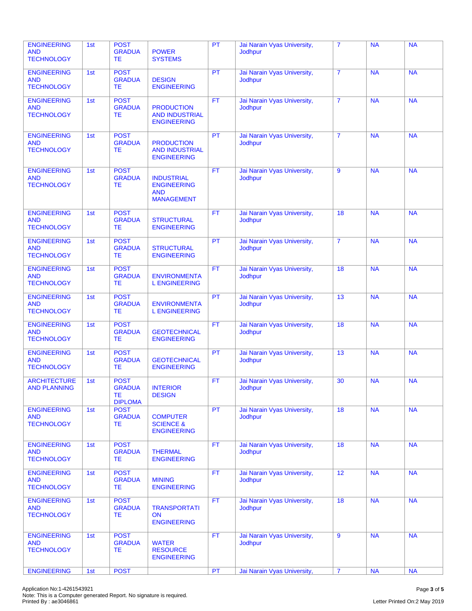| <b>ENGINEERING</b><br><b>AND</b><br><b>TECHNOLOGY</b> | 1st | <b>POST</b><br><b>GRADUA</b><br>ТE                   | <b>POWER</b><br><b>SYSTEMS</b>                                             | PT        | Jai Narain Vyas University,<br><b>Jodhpur</b> | $\overline{7}$ | <b>NA</b> | <b>NA</b> |
|-------------------------------------------------------|-----|------------------------------------------------------|----------------------------------------------------------------------------|-----------|-----------------------------------------------|----------------|-----------|-----------|
| <b>ENGINEERING</b><br><b>AND</b><br><b>TECHNOLOGY</b> | 1st | <b>POST</b><br><b>GRADUA</b><br>ТE                   | <b>DESIGN</b><br><b>ENGINEERING</b>                                        | PT        | Jai Narain Vyas University,<br><b>Jodhpur</b> | $\overline{7}$ | <b>NA</b> | <b>NA</b> |
| <b>ENGINEERING</b><br><b>AND</b><br><b>TECHNOLOGY</b> | 1st | <b>POST</b><br><b>GRADUA</b><br>ТE                   | <b>PRODUCTION</b><br><b>AND INDUSTRIAL</b><br><b>ENGINEERING</b>           | <b>FT</b> | Jai Narain Vyas University,<br>Jodhpur        | $\overline{7}$ | <b>NA</b> | <b>NA</b> |
| <b>ENGINEERING</b><br><b>AND</b><br><b>TECHNOLOGY</b> | 1st | <b>POST</b><br><b>GRADUA</b><br><b>TE</b>            | <b>PRODUCTION</b><br><b>AND INDUSTRIAL</b><br><b>ENGINEERING</b>           | <b>PT</b> | Jai Narain Vyas University,<br><b>Jodhpur</b> | $\overline{7}$ | <b>NA</b> | <b>NA</b> |
| <b>ENGINEERING</b><br><b>AND</b><br><b>TECHNOLOGY</b> | 1st | <b>POST</b><br><b>GRADUA</b><br>ТE                   | <b>INDUSTRIAL</b><br><b>ENGINEERING</b><br><b>AND</b><br><b>MANAGEMENT</b> | <b>FT</b> | Jai Narain Vyas University,<br><b>Jodhpur</b> | 9              | <b>NA</b> | <b>NA</b> |
| <b>ENGINEERING</b><br><b>AND</b><br><b>TECHNOLOGY</b> | 1st | <b>POST</b><br><b>GRADUA</b><br>TE                   | <b>STRUCTURAL</b><br><b>ENGINEERING</b>                                    | <b>FT</b> | Jai Narain Vyas University,<br><b>Jodhpur</b> | 18             | <b>NA</b> | <b>NA</b> |
| <b>ENGINEERING</b><br><b>AND</b><br><b>TECHNOLOGY</b> | 1st | <b>POST</b><br><b>GRADUA</b><br>ТE                   | <b>STRUCTURAL</b><br><b>ENGINEERING</b>                                    | <b>PT</b> | Jai Narain Vyas University,<br><b>Jodhpur</b> | $\overline{7}$ | <b>NA</b> | <b>NA</b> |
| <b>ENGINEERING</b><br><b>AND</b><br><b>TECHNOLOGY</b> | 1st | <b>POST</b><br><b>GRADUA</b><br>ТE                   | <b>ENVIRONMENTA</b><br><b>L ENGINEERING</b>                                | <b>FT</b> | Jai Narain Vyas University,<br><b>Jodhpur</b> | 18             | <b>NA</b> | <b>NA</b> |
| <b>ENGINEERING</b><br><b>AND</b><br><b>TECHNOLOGY</b> | 1st | <b>POST</b><br><b>GRADUA</b><br>ТE                   | <b>ENVIRONMENTA</b><br><b>L ENGINEERING</b>                                | PT        | Jai Narain Vyas University,<br>Jodhpur        | 13             | <b>NA</b> | <b>NA</b> |
| <b>ENGINEERING</b><br><b>AND</b><br><b>TECHNOLOGY</b> | 1st | <b>POST</b><br><b>GRADUA</b><br>ТE                   | <b>GEOTECHNICAL</b><br><b>ENGINEERING</b>                                  | <b>FT</b> | Jai Narain Vyas University,<br>Jodhpur        | 18             | <b>NA</b> | <b>NA</b> |
| <b>ENGINEERING</b><br><b>AND</b><br><b>TECHNOLOGY</b> | 1st | <b>POST</b><br><b>GRADUA</b><br>ТE                   | <b>GEOTECHNICAL</b><br><b>ENGINEERING</b>                                  | PT        | Jai Narain Vyas University,<br>Jodhpur        | 13             | <b>NA</b> | <b>NA</b> |
| <b>ARCHITECTURE</b><br><b>AND PLANNING</b>            | 1st | <b>POST</b><br><b>GRADUA</b><br>ТE<br><b>DIPLOMA</b> | <b>INTERIOR</b><br><b>DESIGN</b>                                           | <b>FT</b> | Jai Narain Vyas University,<br><b>Jodhpur</b> | 30             | <b>NA</b> | <b>NA</b> |
| <b>ENGINEERING</b><br><b>AND</b><br><b>TECHNOLOGY</b> | 1st | <b>POST</b><br><b>GRADUA</b><br><b>TE</b>            | <b>COMPUTER</b><br><b>SCIENCE &amp;</b><br><b>ENGINEERING</b>              | PT        | Jai Narain Vyas University,<br><b>Jodhpur</b> | 18             | <b>NA</b> | <b>NA</b> |
| <b>ENGINEERING</b><br><b>AND</b><br><b>TECHNOLOGY</b> | 1st | <b>POST</b><br><b>GRADUA</b><br>ТE                   | <b>THERMAL</b><br><b>ENGINEERING</b>                                       | FT.       | Jai Narain Vyas University,<br><b>Jodhpur</b> | 18             | <b>NA</b> | <b>NA</b> |
| <b>ENGINEERING</b><br><b>AND</b><br><b>TECHNOLOGY</b> | 1st | <b>POST</b><br><b>GRADUA</b><br>TE.                  | <b>MINING</b><br><b>ENGINEERING</b>                                        | FT.       | Jai Narain Vyas University,<br><b>Jodhpur</b> | 12             | <b>NA</b> | <b>NA</b> |
| <b>ENGINEERING</b><br><b>AND</b><br><b>TECHNOLOGY</b> | 1st | <b>POST</b><br><b>GRADUA</b><br>TE                   | <b>TRANSPORTATI</b><br><b>ON</b><br><b>ENGINEERING</b>                     | FT.       | Jai Narain Vyas University,<br>Jodhpur        | 18             | <b>NA</b> | <b>NA</b> |
| <b>ENGINEERING</b><br><b>AND</b><br><b>TECHNOLOGY</b> | 1st | <b>POST</b><br><b>GRADUA</b><br>TE                   | <b>WATER</b><br><b>RESOURCE</b><br><b>ENGINEERING</b>                      | FT.       | Jai Narain Vyas University,<br><b>Jodhpur</b> | 9              | <b>NA</b> | <b>NA</b> |
| <b>ENGINEERING</b>                                    | 1st | <b>POST</b>                                          |                                                                            | PT        | Jai Narain Vyas University,                   | $\overline{7}$ | <b>NA</b> | <b>NA</b> |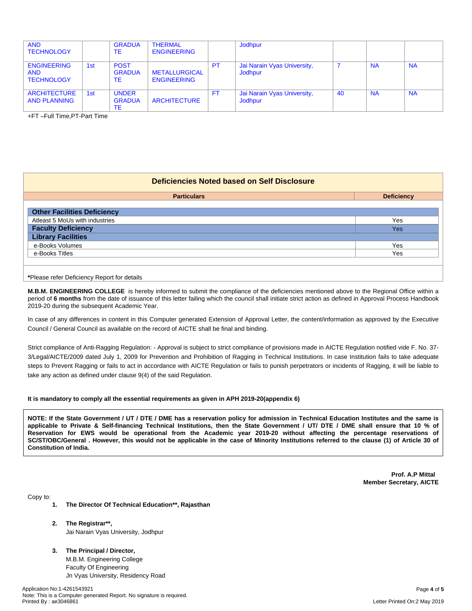| <b>AND</b><br><b>TECHNOLOGY</b>                       |     | <b>GRADUA</b><br>TE                 | <b>THERMAL</b><br><b>ENGINEERING</b>       |     | Jodhpur                                |    |           |           |
|-------------------------------------------------------|-----|-------------------------------------|--------------------------------------------|-----|----------------------------------------|----|-----------|-----------|
| <b>ENGINEERING</b><br><b>AND</b><br><b>TECHNOLOGY</b> | 1st | <b>POST</b><br><b>GRADUA</b><br>TE  | <b>METALLURGICAL</b><br><b>ENGINEERING</b> | PT  | Jai Narain Vyas University,<br>Jodhpur |    | <b>NA</b> | <b>NA</b> |
| <b>ARCHITECTURE</b><br><b>AND PLANNING</b>            | 1st | <b>UNDER</b><br><b>GRADUA</b><br>ТE | <b>ARCHITECTURE</b>                        | FT. | Jai Narain Vyas University,<br>Jodhpur | 40 | <b>NA</b> | <b>NA</b> |

+FT –Full Time,PT-Part Time

#### **Deficiencies Noted based on Self Disclosure**

| <b>Particulars</b>                 | <b>Deficiency</b> |
|------------------------------------|-------------------|
| <b>Other Facilities Deficiency</b> |                   |
| Atleast 5 MoUs with industries     | Yes               |
| <b>Faculty Deficiency</b>          | Yes               |
| <b>Library Facilities</b>          |                   |
| e-Books Volumes                    | Yes               |
| e-Books Titles                     | Yes               |
|                                    |                   |

**\***Please refer Deficiency Report for details

**M.B.M. ENGINEERING COLLEGE** is hereby informed to submit the compliance of the deficiencies mentioned above to the Regional Office within a period of **6 months** from the date of issuance of this letter failing which the council shall initiate strict action as defined in Approval Process Handbook 2019-20 during the subsequent Academic Year.

In case of any differences in content in this Computer generated Extension of Approval Letter, the content/information as approved by the Executive Council / General Council as available on the record of AICTE shall be final and binding.

Strict compliance of Anti-Ragging Regulation: - Approval is subject to strict compliance of provisions made in AICTE Regulation notified vide F. No. 37- 3/Legal/AICTE/2009 dated July 1, 2009 for Prevention and Prohibition of Ragging in Technical Institutions. In case Institution fails to take adequate steps to Prevent Ragging or fails to act in accordance with AICTE Regulation or fails to punish perpetrators or incidents of Ragging, it will be liable to take any action as defined under clause 9(4) of the said Regulation.

#### **It is mandatory to comply all the essential requirements as given in APH 2019-20(appendix 6)**

NOTE: If the State Government / UT / DTE / DME has a reservation policy for admission in Technical Education Institutes and the same is applicable to Private & Self-financing Technical Institutions, then the State Government / UT/ DTE / DME shall ensure that 10 % of Reservation for EWS would be operational from the Academic year 2019-20 without affecting the percentage reservations of SC/ST/OBC/General . However, this would not be applicable in the case of Minority Institutions referred to the clause (1) of Article 30 of **Constitution of India.**

> **Prof. A.P Mittal Member Secretary, AICTE**

Copy to:

- **1. The Director Of Technical Education\*\*, Rajasthan**
- **2. The Registrar\*\*,** Jai Narain Vyas University, Jodhpur
- **3. The Principal / Director,** M.B.M. Engineering College Faculty Of Engineering Jn Vyas University, Residency Road